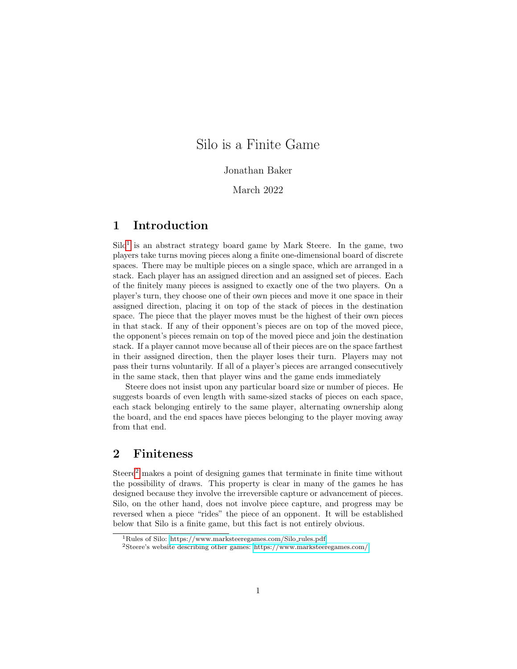# Silo is a Finite Game

#### Jonathan Baker

### March 2022

# 1 Introduction

 $\text{Silo}^1$  $\text{Silo}^1$  is an abstract strategy board game by Mark Steere. In the game, two players take turns moving pieces along a finite one-dimensional board of discrete spaces. There may be multiple pieces on a single space, which are arranged in a stack. Each player has an assigned direction and an assigned set of pieces. Each of the finitely many pieces is assigned to exactly one of the two players. On a player's turn, they choose one of their own pieces and move it one space in their assigned direction, placing it on top of the stack of pieces in the destination space. The piece that the player moves must be the highest of their own pieces in that stack. If any of their opponent's pieces are on top of the moved piece, the opponent's pieces remain on top of the moved piece and join the destination stack. If a player cannot move because all of their pieces are on the space farthest in their assigned direction, then the player loses their turn. Players may not pass their turns voluntarily. If all of a player's pieces are arranged consecutively in the same stack, then that player wins and the game ends immediately

Steere does not insist upon any particular board size or number of pieces. He suggests boards of even length with same-sized stacks of pieces on each space, each stack belonging entirely to the same player, alternating ownership along the board, and the end spaces have pieces belonging to the player moving away from that end.

# 2 Finiteness

Steere<sup>[2](#page-0-1)</sup> makes a point of designing games that terminate in finite time without the possibility of draws. This property is clear in many of the games he has designed because they involve the irreversible capture or advancement of pieces. Silo, on the other hand, does not involve piece capture, and progress may be reversed when a piece "rides" the piece of an opponent. It will be established below that Silo is a finite game, but this fact is not entirely obvious.

<span id="page-0-0"></span><sup>1</sup>Rules of Silo: [https://www.marksteeregames.com/Silo](https://www.marksteeregames.com/Silo_rules.pdf) rules.pdf

<span id="page-0-1"></span><sup>2</sup>Steere's website describing other games:<https://www.marksteeregames.com/>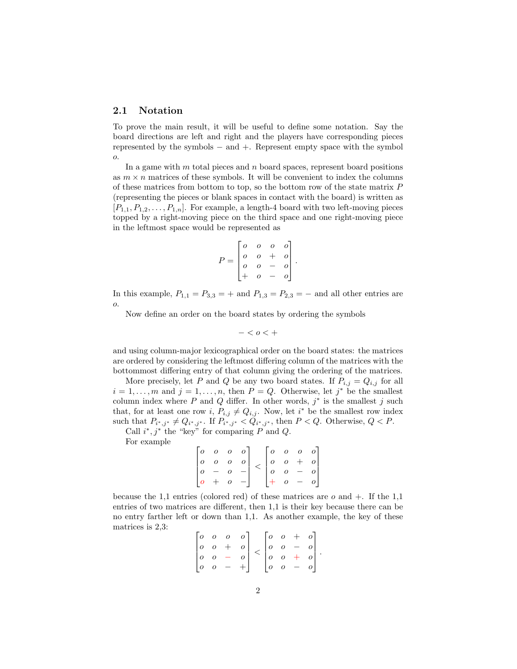#### 2.1 Notation

To prove the main result, it will be useful to define some notation. Say the board directions are left and right and the players have corresponding pieces represented by the symbols − and +. Represent empty space with the symbol o.

In a game with  $m$  total pieces and  $n$  board spaces, represent board positions as  $m \times n$  matrices of these symbols. It will be convenient to index the columns of these matrices from bottom to top, so the bottom row of the state matrix P (representing the pieces or blank spaces in contact with the board) is written as  $[P_{1,1}, P_{1,2}, \ldots, P_{1,n}]$ . For example, a length-4 board with two left-moving pieces topped by a right-moving piece on the third space and one right-moving piece in the leftmost space would be represented as

$$
P = \begin{bmatrix} 0 & 0 & 0 & 0 \\ 0 & 0 & + & 0 \\ 0 & 0 & - & 0 \\ + & 0 & - & 0 \end{bmatrix}.
$$

In this example,  $P_{1,1} = P_{3,3} = +$  and  $P_{1,3} = P_{2,3} = -$  and all other entries are o.

Now define an order on the board states by ordering the symbols

$$
-
$$

and using column-major lexicographical order on the board states: the matrices are ordered by considering the leftmost differing column of the matrices with the bottommost differing entry of that column giving the ordering of the matrices.

More precisely, let P and Q be any two board states. If  $P_{i,j} = Q_{i,j}$  for all  $i = 1, \ldots, m$  and  $j = 1, \ldots, n$ , then  $P = Q$ . Otherwise, let  $j^*$  be the smallest column index where  $P$  and  $Q$  differ. In other words,  $j^*$  is the smallest  $j$  such that, for at least one row i,  $P_{i,j} \neq Q_{i,j}$ . Now, let i<sup>\*</sup> be the smallest row index such that  $P_{i^*,j^*} \neq Q_{i^*,j^*}$ . If  $P_{i^*,j^*} < Q_{i^*,j^*}$ , then  $P < Q$ . Otherwise,  $Q < P$ .

Call  $i^*, j^*$  the "key" for comparing P and Q. For example

> $\sqrt{ }$  $\Big\}$  $\begin{matrix} 0 & 0 & 0 & 0 \end{matrix}$ o o o o  $o - o$  $o + o -$ 1  $\Bigg\}$  $\lt$  $\sqrt{ }$  $\Big\}$ o o o o  $o \quad o \quad + \quad o$  $\begin{array}{cccc} 0 & 0 & - & 0 \end{array}$  $+$  o - o 1  $\Big\}$

because the 1,1 entries (colored red) of these matrices are  $o$  and  $+$ . If the 1,1 entries of two matrices are different, then 1,1 is their key because there can be no entry farther left or down than 1,1. As another example, the key of these matrices is 2,3:

| $\lceil o \rceil$                     | $\overline{O}$ | $\overline{O}$ |                                                                                                              |                                       | $\begin{bmatrix} 0 & 0 & + & 0 \end{bmatrix}$ |                |
|---------------------------------------|----------------|----------------|--------------------------------------------------------------------------------------------------------------|---------------------------------------|-----------------------------------------------|----------------|
| $\begin{vmatrix} 0 & 0 \end{vmatrix}$ | $^{+}$         | $\sigma$       | $\begin{array}{cc} & o & - \\ \begin{vmatrix} 0 & 0 \end{vmatrix} & \end{array}$<br>$\overline{\phantom{a}}$ |                                       |                                               |                |
| $\overline{0}$ $\overline{0}$         | $\frac{1}{2}$  |                |                                                                                                              |                                       |                                               | o              |
| $ 0 \t o$                             |                |                |                                                                                                              | $\begin{vmatrix} 0 & 0 \end{vmatrix}$ | $-$                                           | $\overline{o}$ |

.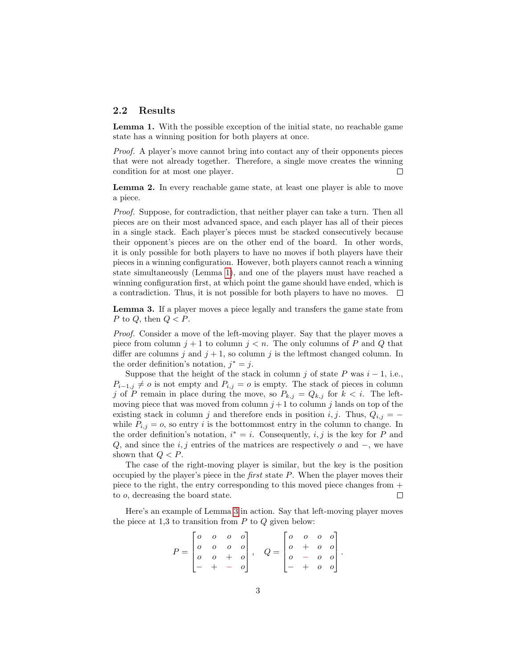### 2.2 Results

<span id="page-2-0"></span>Lemma 1. With the possible exception of the initial state, no reachable game state has a winning position for both players at once.

Proof. A player's move cannot bring into contact any of their opponents pieces that were not already together. Therefore, a single move creates the winning condition for at most one player.  $\Box$ 

<span id="page-2-2"></span>Lemma 2. In every reachable game state, at least one player is able to move a piece.

Proof. Suppose, for contradiction, that neither player can take a turn. Then all pieces are on their most advanced space, and each player has all of their pieces in a single stack. Each player's pieces must be stacked consecutively because their opponent's pieces are on the other end of the board. In other words, it is only possible for both players to have no moves if both players have their pieces in a winning configuration. However, both players cannot reach a winning state simultaneously (Lemma [1\)](#page-2-0), and one of the players must have reached a winning configuration first, at which point the game should have ended, which is a contradiction. Thus, it is not possible for both players to have no moves.  $\Box$ 

<span id="page-2-1"></span>Lemma 3. If a player moves a piece legally and transfers the game state from P to Q, then  $Q < P$ .

Proof. Consider a move of the left-moving player. Say that the player moves a piece from column  $j + 1$  to column  $j < n$ . The only columns of P and Q that differ are columns j and  $j + 1$ , so column j is the leftmost changed column. In the order definition's notation,  $j^* = j$ .

Suppose that the height of the stack in column j of state P was  $i - 1$ , i.e.,  $P_{i-1,j} \neq o$  is not empty and  $P_{i,j} = o$  is empty. The stack of pieces in column j of P remain in place during the move, so  $P_{k,j} = Q_{k,j}$  for  $k < i$ . The leftmoving piece that was moved from column  $j+1$  to column j lands on top of the existing stack in column j and therefore ends in position i, j. Thus,  $Q_{i,j} =$ while  $P_{i,j} = o$ , so entry i is the bottommost entry in the column to change. In the order definition's notation,  $i^* = i$ . Consequently,  $i, j$  is the key for P and Q, and since the  $i, j$  entries of the matrices are respectively  $o$  and  $-$ , we have shown that  $Q < P$ .

The case of the right-moving player is similar, but the key is the position occupied by the player's piece in the first state P. When the player moves their piece to the right, the entry corresponding to this moved piece changes from + to o, decreasing the board state.  $\Box$ 

Here's an example of Lemma [3](#page-2-1) in action. Say that left-moving player moves the piece at 1,3 to transition from  $P$  to  $Q$  given below:

$$
P = \begin{bmatrix} 0 & 0 & 0 & 0 \\ 0 & 0 & 0 & 0 \\ 0 & 0 & + & 0 \\ - & + & - & 0 \end{bmatrix}, \quad Q = \begin{bmatrix} 0 & 0 & 0 & 0 \\ 0 & + & 0 & 0 \\ 0 & - & 0 & 0 \\ - & + & 0 & 0 \end{bmatrix}.
$$